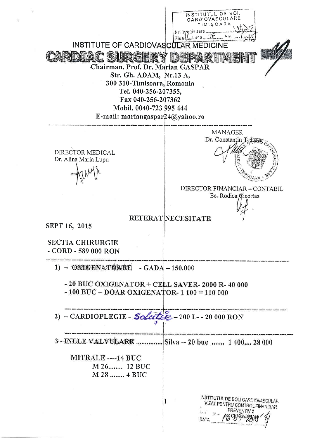INSTITUTUL DE BOLI **RDIOVASCULARE**  $IMISOAR/$ Nr. Inregistrare...  $Z$ iya $\overline{\text{LC}}$  Luna  $\mathbb{Q}$   $\overline{\text{L}}$  Anui INSTITUTE OF CARDIOVASCULAR MEDICINE ARDIAC SURGERY DE Chairman. Prof. Dr. Marian GASPAR Str. Gh. ADAM, Nr.13 A, 300 310-Timisoara, Romania Tel. 040-256-207355, Fax 040-256-207362 Mobil, 0040-723 995 444 E-mail: mariangaspar $24@$ yahoo.ro **MANAGER** Dr. Constantin J DIRECTOR MEDICAL Dr. Alina Maria Lupu DIRECTOR FINANCIAR - CONTABIL Ec. Rodica Cicortas **REFERAT NECESITATE** SEPT 16, 2015 **SECTIA CHIRURGIE** - CORD - 589 000 RON 1) - OXIGENATOARE - GADA - 150.000  $-20$  BUC OXIGENATOR  $+$  CELL SAVER-2000 R-40 000  $-100$  BUC  $-$  DOAR OXIGENATOR- 1 100 = 110 000 2)  $-$  CARDIOPLEGIE - Soletter - 200 I - - 20 000 RON 3 - INELE VALVULARE ............... Silva -- 20 buc ....... 1 400.... 28 000 MITRALE ---- 14 BUC M 26........ 12 BUC M 28 ........ 4 BUC **INSTITUTUL DE BOLI CARDIOVASCULAR**  $\mathbf{1}$ VIZAT PENTRU CONTROL FINANCIAR PREVENTIV 2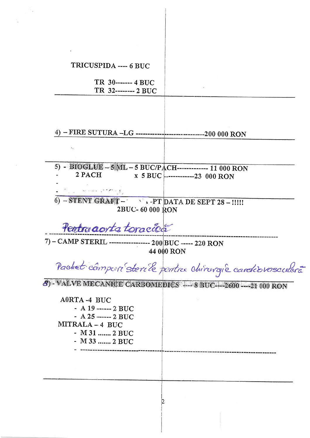| TRICUSPIDA ---- 6 BUC                                                                 |                                                         |
|---------------------------------------------------------------------------------------|---------------------------------------------------------|
|                                                                                       |                                                         |
| TR 30------- 4 BUC                                                                    |                                                         |
| TR 32-------- 2 BUC                                                                   |                                                         |
|                                                                                       |                                                         |
|                                                                                       |                                                         |
|                                                                                       |                                                         |
|                                                                                       |                                                         |
|                                                                                       |                                                         |
| $\mathbf{z}_{\text{eq}}$                                                              |                                                         |
|                                                                                       |                                                         |
| 5) - BIOGLUE - 5 MIL - 5 BUC/PACH-------------- 11 000 RON                            |                                                         |
| 2 PACH                                                                                | x 5 BUC --------------23 000 RON                        |
|                                                                                       |                                                         |
| $\frac{1}{N}$ and $\frac{1}{N}$ and $\frac{1}{N}$ and $\frac{1}{N}$ and $\frac{1}{N}$ |                                                         |
| - STENT GRAFT - A PT DATA DE SEPT 28 - !!!!!                                          |                                                         |
| 2BUC-60 000 RON                                                                       |                                                         |
|                                                                                       |                                                         |
| Pertru aorta toracióa                                                                 |                                                         |
|                                                                                       |                                                         |
| 7) - CAMP STERIL ----------------- 200 BUC ----- 220 RON                              |                                                         |
|                                                                                       | 44 000 RON                                              |
|                                                                                       |                                                         |
|                                                                                       | Pachet composé sterile pentre chirovaie cardiovasculara |
| 3) VALVE MECANICE CARBOMEDICS --- 8 BUC-1--2600 --- 21 000 RON                        |                                                         |
|                                                                                       |                                                         |
| <b>A0RTA-4 BUC</b>                                                                    |                                                         |
| $-$ A 19 ------- 2 BUC                                                                |                                                         |
| $- A 25$ ------- 2 BUC                                                                |                                                         |
| MITRALA-4 BUC                                                                         |                                                         |
| $-M31$ 2 BUC                                                                          |                                                         |
| $-M33$ 2 BUC                                                                          |                                                         |
|                                                                                       |                                                         |
|                                                                                       |                                                         |
|                                                                                       |                                                         |
|                                                                                       |                                                         |
|                                                                                       |                                                         |
|                                                                                       |                                                         |
|                                                                                       |                                                         |
|                                                                                       |                                                         |

 $\frac{1}{2}$  .

 $\mathcal{O}(\varepsilon)$  .